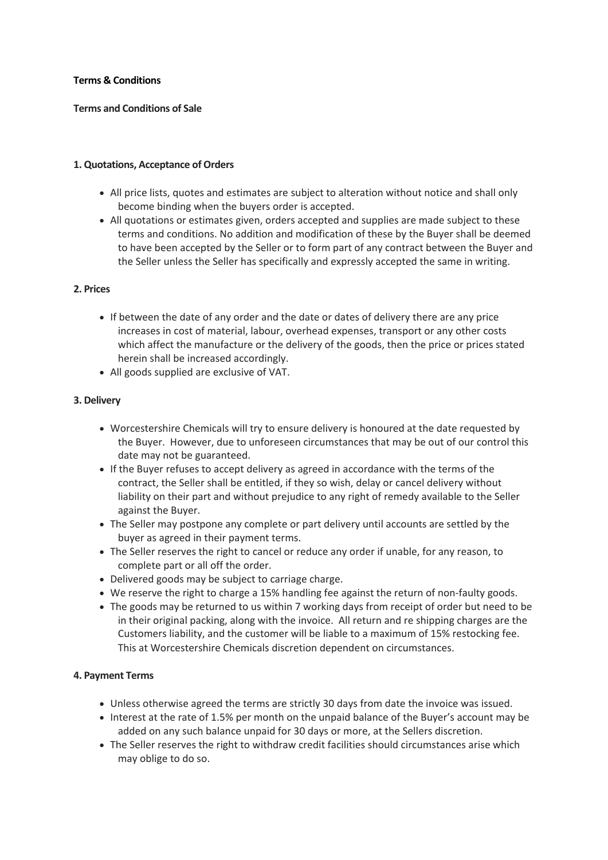## **Terms & Conditions**

# **Terms and Conditions of Sale**

## **1. Quotations, Acceptance of Orders**

- All price lists, quotes and estimates are subject to alteration without notice and shall only become binding when the buyers order is accepted.
- All quotations or estimates given, orders accepted and supplies are made subject to these terms and conditions. No addition and modification of these by the Buyer shall be deemed to have been accepted by the Seller or to form part of any contract between the Buyer and the Seller unless the Seller has specifically and expressly accepted the same in writing.

## **2. Prices**

- If between the date of any order and the date or dates of delivery there are any price increases in cost of material, labour, overhead expenses, transport or any other costs which affect the manufacture or the delivery of the goods, then the price or prices stated herein shall be increased accordingly.
- All goods supplied are exclusive of VAT.

# **3. Delivery**

- Worcestershire Chemicals will try to ensure delivery is honoured at the date requested by the Buyer. However, due to unforeseen circumstances that may be out of our control this date may not be guaranteed.
- If the Buyer refuses to accept delivery as agreed in accordance with the terms of the contract, the Seller shall be entitled, if they so wish, delay or cancel delivery without liability on their part and without prejudice to any right of remedy available to the Seller against the Buyer.
- The Seller may postpone any complete or part delivery until accounts are settled by the buyer as agreed in their payment terms.
- The Seller reserves the right to cancel or reduce any order if unable, for any reason, to complete part or all off the order.
- Delivered goods may be subject to carriage charge.
- We reserve the right to charge a 15% handling fee against the return of non-faulty goods.
- The goods may be returned to us within 7 working days from receipt of order but need to be in their original packing, along with the invoice. All return and re shipping charges are the Customers liability, and the customer will be liable to a maximum of 15% restocking fee. This at Worcestershire Chemicals discretion dependent on circumstances.

## **4. Payment Terms**

- Unless otherwise agreed the terms are strictly 30 days from date the invoice was issued.
- Interest at the rate of 1.5% per month on the unpaid balance of the Buyer's account may be added on any such balance unpaid for 30 days or more, at the Sellers discretion.
- The Seller reserves the right to withdraw credit facilities should circumstances arise which may oblige to do so.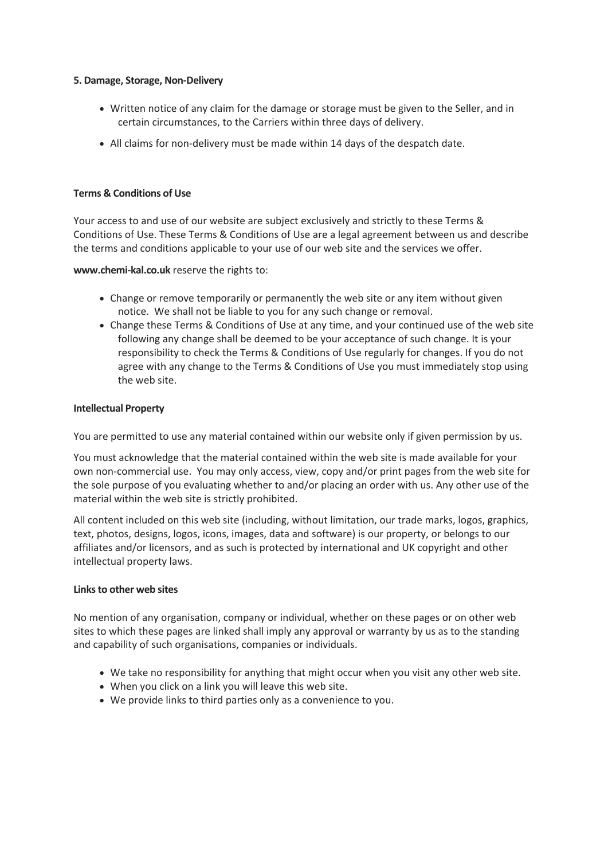#### **5. Damage, Storage, Non-Delivery**

- Written notice of any claim for the damage or storage must be given to the Seller, and in certain circumstances, to the Carriers within three days of delivery.
- All claims for non-delivery must be made within 14 days of the despatch date.

## **Terms & Conditions of Use**

Your access to and use of our website are subject exclusively and strictly to these Terms & Conditions of Use. These Terms & Conditions of Use are a legal agreement between us and describe the terms and conditions applicable to your use of our web site and the services we offer.

**www.chemi-kal.co.uk** reserve the rights to:

- Change or remove temporarily or permanently the web site or any item without given notice. We shall not be liable to you for any such change or removal.
- Change these Terms & Conditions of Use at any time, and your continued use of the web site following any change shall be deemed to be your acceptance of such change. It is your responsibility to check the Terms & Conditions of Use regularly for changes. If you do not agree with any change to the Terms & Conditions of Use you must immediately stop using the web site.

#### **Intellectual Property**

You are permitted to use any material contained within our website only if given permission by us.

You must acknowledge that the material contained within the web site is made available for your own non-commercial use. You may only access, view, copy and/or print pages from the web site for the sole purpose of you evaluating whether to and/or placing an order with us. Any other use of the material within the web site is strictly prohibited.

All content included on this web site (including, without limitation, our trade marks, logos, graphics, text, photos, designs, logos, icons, images, data and software) is our property, or belongs to our affiliates and/or licensors, and as such is protected by international and UK copyright and other intellectual property laws.

#### **Links to other web sites**

No mention of any organisation, company or individual, whether on these pages or on other web sites to which these pages are linked shall imply any approval or warranty by us as to the standing and capability of such organisations, companies or individuals.

- We take no responsibility for anything that might occur when you visit any other web site.
- When you click on a link you will leave this web site.
- We provide links to third parties only as a convenience to you.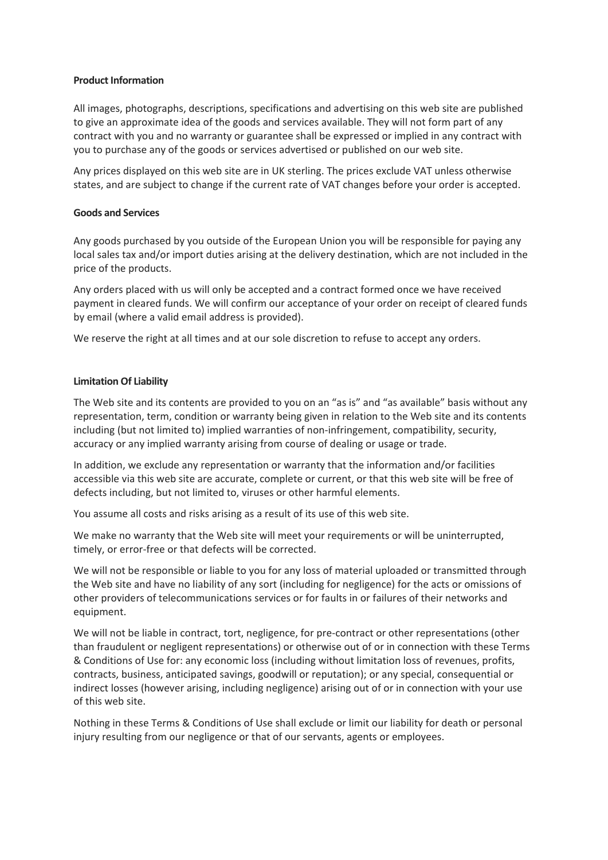## **Product Information**

All images, photographs, descriptions, specifications and advertising on this web site are published to give an approximate idea of the goods and services available. They will not form part of any contract with you and no warranty or guarantee shall be expressed or implied in any contract with you to purchase any of the goods or services advertised or published on our web site.

Any prices displayed on this web site are in UK sterling. The prices exclude VAT unless otherwise states, and are subject to change if the current rate of VAT changes before your order is accepted.

## **Goods and Services**

Any goods purchased by you outside of the European Union you will be responsible for paying any local sales tax and/or import duties arising at the delivery destination, which are not included in the price of the products.

Any orders placed with us will only be accepted and a contract formed once we have received payment in cleared funds. We will confirm our acceptance of your order on receipt of cleared funds by email (where a valid email address is provided).

We reserve the right at all times and at our sole discretion to refuse to accept any orders.

#### **Limitation Of Liability**

The Web site and its contents are provided to you on an "as is" and "as available" basis without any representation, term, condition or warranty being given in relation to the Web site and its contents including (but not limited to) implied warranties of non-infringement, compatibility, security, accuracy or any implied warranty arising from course of dealing or usage or trade.

In addition, we exclude any representation or warranty that the information and/or facilities accessible via this web site are accurate, complete or current, or that this web site will be free of defects including, but not limited to, viruses or other harmful elements.

You assume all costs and risks arising as a result of its use of this web site.

We make no warranty that the Web site will meet your requirements or will be uninterrupted, timely, or error-free or that defects will be corrected.

We will not be responsible or liable to you for any loss of material uploaded or transmitted through the Web site and have no liability of any sort (including for negligence) for the acts or omissions of other providers of telecommunications services or for faults in or failures of their networks and equipment.

We will not be liable in contract, tort, negligence, for pre-contract or other representations (other than fraudulent or negligent representations) or otherwise out of or in connection with these Terms & Conditions of Use for: any economic loss (including without limitation loss of revenues, profits, contracts, business, anticipated savings, goodwill or reputation); or any special, consequential or indirect losses (however arising, including negligence) arising out of or in connection with your use of this web site.

Nothing in these Terms & Conditions of Use shall exclude or limit our liability for death or personal injury resulting from our negligence or that of our servants, agents or employees.